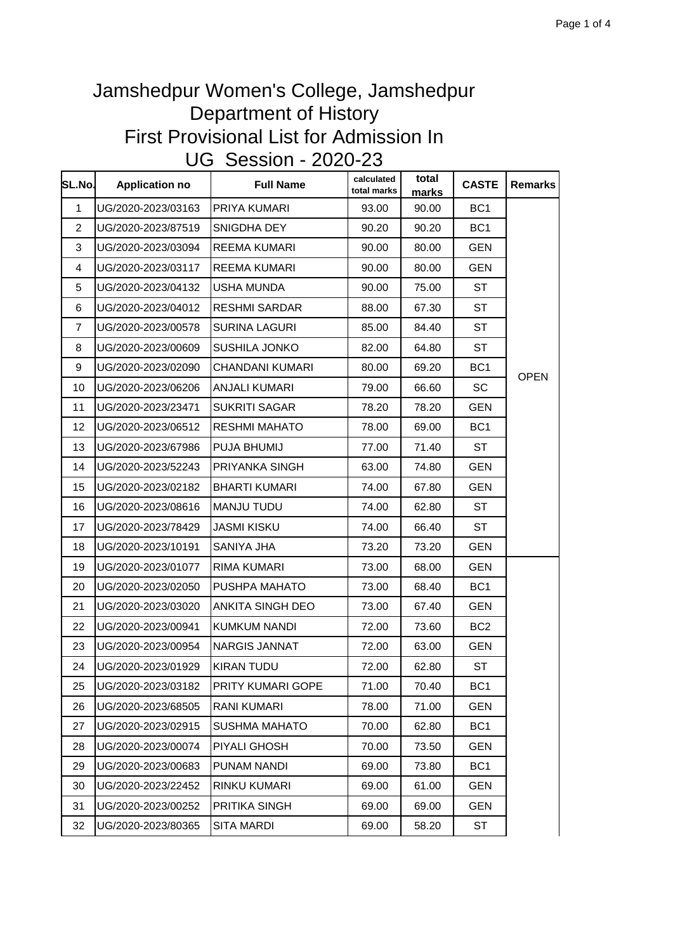| SL.No.       | <b>Application no</b> | <b>Full Name</b>     | calculated<br>total marks | total<br>marks | <b>CASTE</b>    | Remarks     |
|--------------|-----------------------|----------------------|---------------------------|----------------|-----------------|-------------|
| $\mathbf{1}$ | UG/2020-2023/03163    | PRIYA KUMARI         | 93.00                     | 90.00          | BC <sub>1</sub> |             |
| 2            | UG/2020-2023/87519    | SNIGDHA DEY          | 90.20                     | 90.20          | BC <sub>1</sub> |             |
| 3            | UG/2020-2023/03094    | <b>REEMA KUMARI</b>  | 90.00                     | 80.00          | <b>GEN</b>      |             |
| 4            | UG/2020-2023/03117    | <b>REEMA KUMARI</b>  | 90.00                     | 80.00          | <b>GEN</b>      |             |
| 5            | UG/2020-2023/04132    | USHA MUNDA           | 90.00                     | 75.00          | <b>ST</b>       |             |
| 6            | UG/2020-2023/04012    | <b>RESHMI SARDAR</b> | 88.00                     | 67.30          | <b>ST</b>       |             |
| 7            | UG/2020-2023/00578    | <b>SURINA LAGURI</b> | 85.00                     | 84.40          | <b>ST</b>       |             |
| 8            | UG/2020-2023/00609    | SUSHILA JONKO        | 82.00                     | 64.80          | <b>ST</b>       |             |
| 9            | UG/2020-2023/02090    | CHANDANI KUMARI      | 80.00                     | 69.20          | BC <sub>1</sub> | <b>OPEN</b> |
| 10           | UG/2020-2023/06206    | <b>ANJALI KUMARI</b> | 79.00                     | 66.60          | <b>SC</b>       |             |
| 11           | UG/2020-2023/23471    | <b>SUKRITI SAGAR</b> | 78.20                     | 78.20          | <b>GEN</b>      |             |
| 12           | UG/2020-2023/06512    | <b>RESHMI MAHATO</b> | 78.00                     | 69.00          | BC <sub>1</sub> |             |
| 13           | UG/2020-2023/67986    | PUJA BHUMIJ          | 77.00                     | 71.40          | ST              |             |
| 14           | UG/2020-2023/52243    | PRIYANKA SINGH       | 63.00                     | 74.80          | <b>GEN</b>      |             |
| 15           | UG/2020-2023/02182    | <b>BHARTI KUMARI</b> | 74.00                     | 67.80          | <b>GEN</b>      |             |
| 16           | UG/2020-2023/08616    | <b>MANJU TUDU</b>    | 74.00                     | 62.80          | ST              |             |
| 17           | UG/2020-2023/78429    | <b>JASMI KISKU</b>   | 74.00                     | 66.40          | ST              |             |
| 18           | UG/2020-2023/10191    | SANIYA JHA           | 73.20                     | 73.20          | <b>GEN</b>      |             |
| 19           | UG/2020-2023/01077    | RIMA KUMARI          | 73.00                     | 68.00          | <b>GEN</b>      |             |
| 20           | UG/2020-2023/02050    | PUSHPA MAHATO        | 73.00                     | 68.40          | BC <sub>1</sub> |             |
| 21           | UG/2020-2023/03020    | ANKITA SINGH DEO     | 73.00                     | 67.40          | <b>GEN</b>      |             |
| 22           | UG/2020-2023/00941    | <b>KUMKUM NANDI</b>  | 72.00                     | 73.60          | BC <sub>2</sub> |             |
| 23           | UG/2020-2023/00954    | NARGIS JANNAT        | 72.00                     | 63.00          | GEN             |             |
| 24           | UG/2020-2023/01929    | <b>KIRAN TUDU</b>    | 72.00                     | 62.80          | <b>ST</b>       |             |
| 25           | UG/2020-2023/03182    | PRITY KUMARI GOPE    | 71.00                     | 70.40          | BC <sub>1</sub> |             |
| 26           | UG/2020-2023/68505    | RANI KUMARI          | 78.00                     | 71.00          | <b>GEN</b>      |             |
| 27           | UG/2020-2023/02915    | <b>SUSHMA MAHATO</b> | 70.00                     | 62.80          | BC <sub>1</sub> |             |
| 28           | UG/2020-2023/00074    | PIYALI GHOSH         | 70.00                     | 73.50          | <b>GEN</b>      |             |
| 29           | UG/2020-2023/00683    | PUNAM NANDI          | 69.00                     | 73.80          | BC <sub>1</sub> |             |
| 30           | UG/2020-2023/22452    | RINKU KUMARI         | 69.00                     | 61.00          | <b>GEN</b>      |             |
| 31           | UG/2020-2023/00252    | PRITIKA SINGH        | 69.00                     | 69.00          | <b>GEN</b>      |             |
| 32           | UG/2020-2023/80365    | <b>SITA MARDI</b>    | 69.00                     | 58.20          | ST              |             |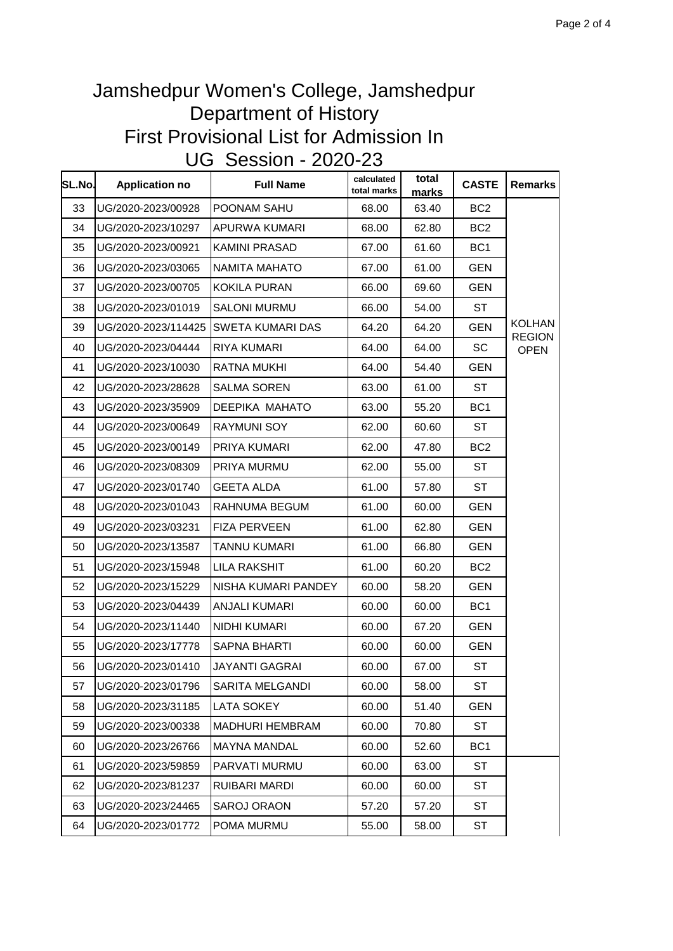| SL.No. | <b>Application no</b> | <b>Full Name</b>        | calculated<br>total marks | total<br>marks | <b>CASTE</b>    | <b>Remarks</b>                 |
|--------|-----------------------|-------------------------|---------------------------|----------------|-----------------|--------------------------------|
| 33     | UG/2020-2023/00928    | POONAM SAHU             | 68.00                     | 63.40          | BC <sub>2</sub> |                                |
| 34     | UG/2020-2023/10297    | APURWA KUMARI           | 68.00                     | 62.80          | BC <sub>2</sub> |                                |
| 35     | UG/2020-2023/00921    | <b>KAMINI PRASAD</b>    | 67.00                     | 61.60          | BC <sub>1</sub> |                                |
| 36     | UG/2020-2023/03065    | NAMITA MAHATO           | 67.00                     | 61.00          | GEN             |                                |
| 37     | UG/2020-2023/00705    | <b>KOKILA PURAN</b>     | 66.00                     | 69.60          | <b>GEN</b>      |                                |
| 38     | UG/2020-2023/01019    | <b>SALONI MURMU</b>     | 66.00                     | 54.00          | ST              |                                |
| 39     | UG/2020-2023/114425   | <b>SWETA KUMARI DAS</b> | 64.20                     | 64.20          | <b>GEN</b>      | <b>KOLHAN</b><br><b>REGION</b> |
| 40     | UG/2020-2023/04444    | RIYA KUMARI             | 64.00                     | 64.00          | SC              | <b>OPEN</b>                    |
| 41     | UG/2020-2023/10030    | RATNA MUKHI             | 64.00                     | 54.40          | GEN             |                                |
| 42     | UG/2020-2023/28628    | <b>SALMA SOREN</b>      | 63.00                     | 61.00          | <b>ST</b>       |                                |
| 43     | UG/2020-2023/35909    | DEEPIKA MAHATO          | 63.00                     | 55.20          | BC <sub>1</sub> |                                |
| 44     | UG/2020-2023/00649    | <b>RAYMUNI SOY</b>      | 62.00                     | 60.60          | <b>ST</b>       |                                |
| 45     | UG/2020-2023/00149    | PRIYA KUMARI            | 62.00                     | 47.80          | BC <sub>2</sub> |                                |
| 46     | UG/2020-2023/08309    | PRIYA MURMU             | 62.00                     | 55.00          | ST              |                                |
| 47     | UG/2020-2023/01740    | <b>GEETA ALDA</b>       | 61.00                     | 57.80          | ST              |                                |
| 48     | UG/2020-2023/01043    | RAHNUMA BEGUM           | 61.00                     | 60.00          | GEN             |                                |
| 49     | UG/2020-2023/03231    | <b>FIZA PERVEEN</b>     | 61.00                     | 62.80          | <b>GEN</b>      |                                |
| 50     | UG/2020-2023/13587    | TANNU KUMARI            | 61.00                     | 66.80          | <b>GEN</b>      |                                |
| 51     | UG/2020-2023/15948    | LILA RAKSHIT            | 61.00                     | 60.20          | BC <sub>2</sub> |                                |
| 52     | UG/2020-2023/15229    | NISHA KUMARI PANDEY     | 60.00                     | 58.20          | <b>GEN</b>      |                                |
| 53     | UG/2020-2023/04439    | ANJALI KUMARI           | 60.00                     | 60.00          | BC <sub>1</sub> |                                |
| 54     | UG/2020-2023/11440    | NIDHI KUMARI            | 60.00                     | 67.20          | <b>GEN</b>      |                                |
| 55     | UG/2020-2023/17778    | <b>SAPNA BHARTI</b>     | 60.00                     | 60.00          | GEN             |                                |
| 56     | UG/2020-2023/01410    | <b>JAYANTI GAGRAI</b>   | 60.00                     | 67.00          | <b>ST</b>       |                                |
| 57     | UG/2020-2023/01796    | SARITA MELGANDI         | 60.00                     | 58.00          | ST              |                                |
| 58     | UG/2020-2023/31185    | <b>LATA SOKEY</b>       | 60.00                     | 51.40          | <b>GEN</b>      |                                |
| 59     | UG/2020-2023/00338    | MADHURI HEMBRAM         | 60.00                     | 70.80          | <b>ST</b>       |                                |
| 60     | UG/2020-2023/26766    | <b>MAYNA MANDAL</b>     | 60.00                     | 52.60          | BC <sub>1</sub> |                                |
| 61     | UG/2020-2023/59859    | PARVATI MURMU           | 60.00                     | 63.00          | <b>ST</b>       |                                |
| 62     | UG/2020-2023/81237    | RUIBARI MARDI           | 60.00                     | 60.00          | <b>ST</b>       |                                |
| 63     | UG/2020-2023/24465    | <b>SAROJ ORAON</b>      | 57.20                     | 57.20          | ST              |                                |
| 64     | UG/2020-2023/01772    | POMA MURMU              | 55.00                     | 58.00          | <b>ST</b>       |                                |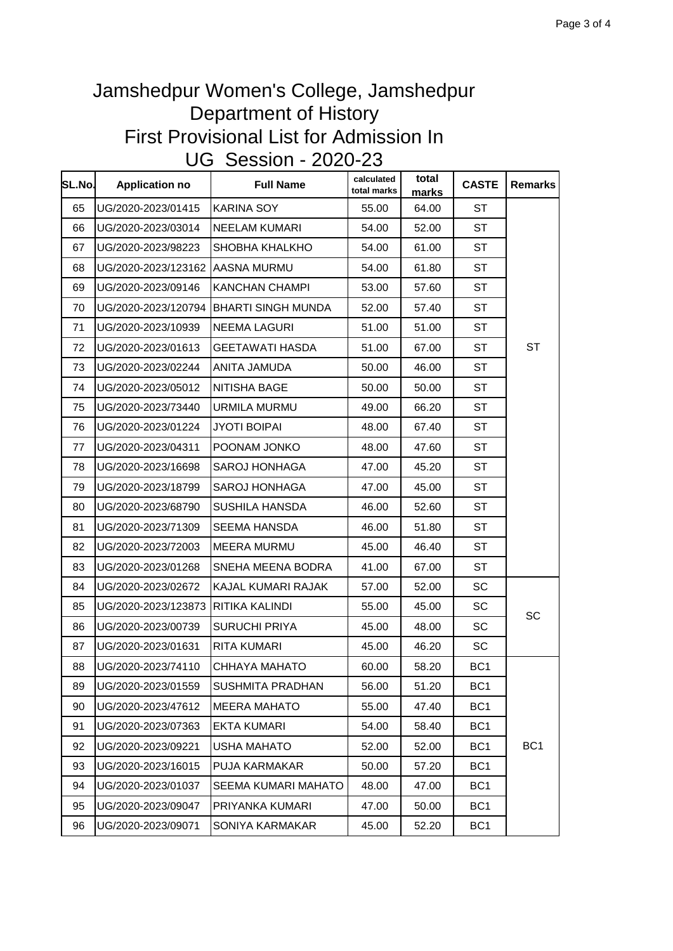| SL.No. | <b>Application no</b> | <b>Full Name</b>        | calculated<br>total marks | total<br>marks | <b>CASTE</b>    | <b>Remarks</b>  |
|--------|-----------------------|-------------------------|---------------------------|----------------|-----------------|-----------------|
| 65     | UG/2020-2023/01415    | <b>KARINA SOY</b>       | 55.00                     | 64.00          | <b>ST</b>       |                 |
| 66     | UG/2020-2023/03014    | <b>NEELAM KUMARI</b>    | 54.00                     | 52.00          | ST              |                 |
| 67     | UG/2020-2023/98223    | SHOBHA KHALKHO          | 54.00                     | 61.00          | <b>ST</b>       |                 |
| 68     | UG/2020-2023/123162   | AASNA MURMU             | 54.00                     | 61.80          | ST              |                 |
| 69     | UG/2020-2023/09146    | <b>KANCHAN CHAMPI</b>   | 53.00                     | 57.60          | ST              |                 |
| 70     | UG/2020-2023/120794   | BHARTI SINGH MUNDA      | 52.00                     | 57.40          | ST              |                 |
| 71     | UG/2020-2023/10939    | <b>NEEMA LAGURI</b>     | 51.00                     | 51.00          | <b>ST</b>       |                 |
| 72     | UG/2020-2023/01613    | <b>GEETAWATI HASDA</b>  | 51.00                     | 67.00          | <b>ST</b>       | <b>ST</b>       |
| 73     | UG/2020-2023/02244    | ANITA JAMUDA            | 50.00                     | 46.00          | ST              |                 |
| 74     | UG/2020-2023/05012    | NITISHA BAGE            | 50.00                     | 50.00          | <b>ST</b>       |                 |
| 75     | UG/2020-2023/73440    | <b>URMILA MURMU</b>     | 49.00                     | 66.20          | <b>ST</b>       |                 |
| 76     | UG/2020-2023/01224    | <b>JYOTI BOIPAI</b>     | 48.00                     | 67.40          | ST              |                 |
| 77     | UG/2020-2023/04311    | POONAM JONKO            | 48.00                     | 47.60          | ST              |                 |
| 78     | UG/2020-2023/16698    | <b>SAROJ HONHAGA</b>    | 47.00                     | 45.20          | ST              |                 |
| 79     | UG/2020-2023/18799    | <b>SAROJ HONHAGA</b>    | 47.00                     | 45.00          | ST              |                 |
| 80     | UG/2020-2023/68790    | SUSHILA HANSDA          | 46.00                     | 52.60          | <b>ST</b>       |                 |
| 81     | UG/2020-2023/71309    | <b>SEEMA HANSDA</b>     | 46.00                     | 51.80          | ST              |                 |
| 82     | UG/2020-2023/72003    | <b>MEERA MURMU</b>      | 45.00                     | 46.40          | ST              |                 |
| 83     | UG/2020-2023/01268    | SNEHA MEENA BODRA       | 41.00                     | 67.00          | ST              |                 |
| 84     | UG/2020-2023/02672    | KAJAL KUMARI RAJAK      | 57.00                     | 52.00          | SC              |                 |
| 85     | UG/2020-2023/123873   | RITIKA KALINDI          | 55.00                     | 45.00          | SC              | SC              |
| 86     | UG/2020-2023/00739    | <b>SURUCHI PRIYA</b>    | 45.00                     | 48.00          | SC              |                 |
| 87     | UG/2020-2023/01631    | <b>RITA KUMARI</b>      | 45.00                     | 46.20          | SC              |                 |
| 88     | UG/2020-2023/74110    | CHHAYA MAHATO           | 60.00                     | 58.20          | BC <sub>1</sub> |                 |
| 89     | UG/2020-2023/01559    | <b>SUSHMITA PRADHAN</b> | 56.00                     | 51.20          | BC <sub>1</sub> |                 |
| 90     | UG/2020-2023/47612    | <b>MEERA MAHATO</b>     | 55.00                     | 47.40          | BC1             |                 |
| 91     | UG/2020-2023/07363    | <b>EKTA KUMARI</b>      | 54.00                     | 58.40          | BC <sub>1</sub> |                 |
| 92     | UG/2020-2023/09221    | <b>USHA MAHATO</b>      | 52.00                     | 52.00          | BC <sub>1</sub> | BC <sub>1</sub> |
| 93     | UG/2020-2023/16015    | PUJA KARMAKAR           | 50.00                     | 57.20          | BC <sub>1</sub> |                 |
| 94     | UG/2020-2023/01037    | SEEMA KUMARI MAHATO     | 48.00                     | 47.00          | BC <sub>1</sub> |                 |
| 95     | UG/2020-2023/09047    | PRIYANKA KUMARI         | 47.00                     | 50.00          | BC <sub>1</sub> |                 |
| 96     | UG/2020-2023/09071    | SONIYA KARMAKAR         | 45.00                     | 52.20          | BC1             |                 |